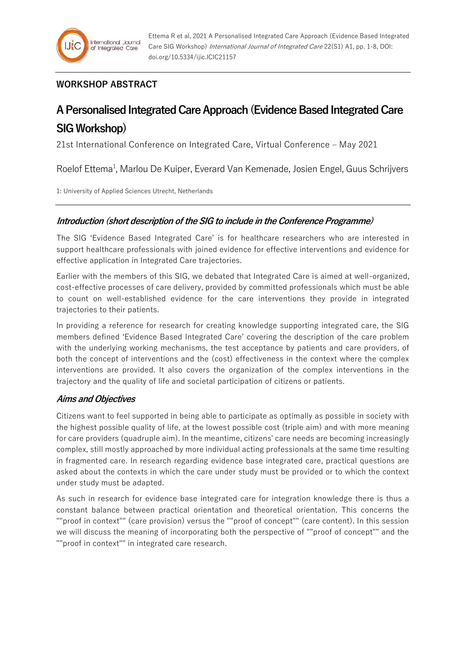## **WORKSHOP ABSTRACT**

# **A Personalised Integrated Care Approach (Evidence Based Integrated Care SIG Workshop)**

21st International Conference on Integrated Care, Virtual Conference – May 2021

Roelof Ettema<sup>1</sup>, Marlou De Kuiper, Everard Van Kemenade, Josien Engel, Guus Schrijvers

1: University of Applied Sciences Utrecht, Netherlands

#### **Introduction (short description of the SIG to include in the Conference Programme)**

The SIG 'Evidence Based Integrated Care' is for healthcare researchers who are interested in support healthcare professionals with joined evidence for effective interventions and evidence for effective application in Integrated Care trajectories.

Earlier with the members of this SIG, we debated that Integrated Care is aimed at well-organized, cost-effective processes of care delivery, provided by committed professionals which must be able to count on well-established evidence for the care interventions they provide in integrated trajectories to their patients.

In providing a reference for research for creating knowledge supporting integrated care, the SIG members defined 'Evidence Based Integrated Care' covering the description of the care problem with the underlying working mechanisms, the test acceptance by patients and care providers, of both the concept of interventions and the (cost) effectiveness in the context where the complex interventions are provided. It also covers the organization of the complex interventions in the trajectory and the quality of life and societal participation of citizens or patients.

#### **Aims and Objectives**

Citizens want to feel supported in being able to participate as optimally as possible in society with the highest possible quality of life, at the lowest possible cost (triple aim) and with more meaning for care providers (quadruple aim). In the meantime, citizens' care needs are becoming increasingly complex, still mostly approached by more individual acting professionals at the same time resulting in fragmented care. In research regarding evidence base integrated care, practical questions are asked about the contexts in which the care under study must be provided or to which the context under study must be adapted.

As such in research for evidence base integrated care for integration knowledge there is thus a constant balance between practical orientation and theoretical orientation. This concerns the ""proof in context"" (care provision) versus the ""proof of concept"" (care content). In this session we will discuss the meaning of incorporating both the perspective of ""proof of concept"" and the ""proof in context"" in integrated care research.